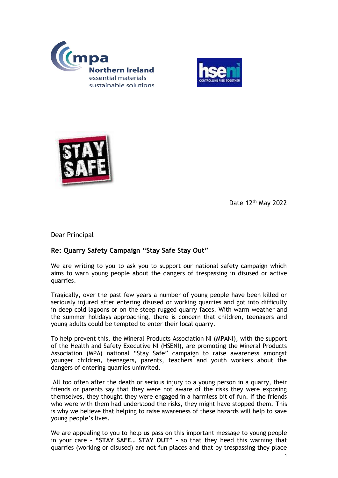





Date 12th May 2022

Dear Principal

## **Re: Quarry Safety Campaign "Stay Safe Stay Out"**

We are writing to you to ask you to support our national safety campaign which aims to warn young people about the dangers of trespassing in disused or active quarries.

Tragically, over the past few years a number of young people have been killed or seriously injured after entering disused or working quarries and got into difficulty in deep cold lagoons or on the steep rugged quarry faces. With warm weather and the summer holidays approaching, there is concern that children, teenagers and young adults could be tempted to enter their local quarry.

To help prevent this, the Mineral Products Association NI (MPANI), with the support of the Health and Safety Executive NI (HSENI), are promoting the Mineral Products Association (MPA) national "Stay Safe" campaign to raise awareness amongst younger children, teenagers, parents, teachers and youth workers about the dangers of entering quarries uninvited.

All too often after the death or serious injury to a young person in a quarry, their friends or parents say that they were not aware of the risks they were exposing themselves, they thought they were engaged in a harmless bit of fun. If the friends who were with them had understood the risks, they might have stopped them. This is why we believe that helping to raise awareness of these hazards will help to save young people's lives.

We are appealing to you to help us pass on this important message to young people in your care - **"STAY SAFE… STAY OUT" -** so that they heed this warning that quarries (working or disused) are not fun places and that by trespassing they place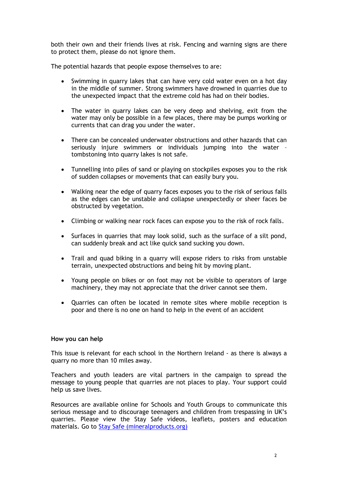both their own and their friends lives at risk. Fencing and warning signs are there to protect them, please do not ignore them.

The potential hazards that people expose themselves to are:

- Swimming in quarry lakes that can have very cold water even on a hot day in the middle of summer. Strong swimmers have drowned in quarries due to the unexpected impact that the extreme cold has had on their bodies.
- The water in quarry lakes can be very deep and shelving, exit from the water may only be possible in a few places, there may be pumps working or currents that can drag you under the water.
- There can be concealed underwater obstructions and other hazards that can seriously injure swimmers or individuals jumping into the water – tombstoning into quarry lakes is not safe.
- Tunnelling into piles of sand or playing on stockpiles exposes you to the risk of sudden collapses or movements that can easily bury you.
- Walking near the edge of quarry faces exposes you to the risk of serious falls as the edges can be unstable and collapse unexpectedly or sheer faces be obstructed by vegetation.
- Climbing or walking near rock faces can expose you to the risk of rock falls.
- Surfaces in quarries that may look solid, such as the surface of a silt pond, can suddenly break and act like quick sand sucking you down.
- Trail and quad biking in a quarry will expose riders to risks from unstable terrain, unexpected obstructions and being hit by moving plant.
- Young people on bikes or on foot may not be visible to operators of large machinery, they may not appreciate that the driver cannot see them.
- Quarries can often be located in remote sites where mobile reception is poor and there is no one on hand to help in the event of an accident

## **How you can help**

This issue is relevant for each school in the Northern Ireland - as there is always a quarry no more than 10 miles away.

Teachers and youth leaders are vital partners in the campaign to spread the message to young people that quarries are not places to play. Your support could help us save lives.

Resources are available online for Schools and Youth Groups to communicate this serious message and to discourage teenagers and children from trespassing in UK's quarries. Please view the Stay Safe videos, leaflets, posters and education materials. Go to Stay Safe (mineralproducts.org)